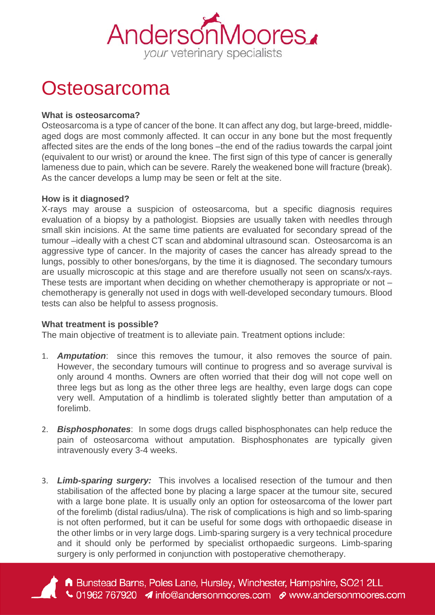

## **Osteosarcoma**

## **What is osteosarcoma?**

Osteosarcoma is a type of cancer of the bone. It can affect any dog, but large-breed, middleaged dogs are most commonly affected. It can occur in any bone but the most frequently affected sites are the ends of the long bones –the end of the radius towards the carpal joint (equivalent to our wrist) or around the knee. The first sign of this type of cancer is generally lameness due to pain, which can be severe. Rarely the weakened bone will fracture (break). As the cancer develops a lump may be seen or felt at the site.

## **How is it diagnosed?**

X-rays may arouse a suspicion of osteosarcoma, but a specific diagnosis requires evaluation of a biopsy by a pathologist. Biopsies are usually taken with needles through small skin incisions. At the same time patients are evaluated for secondary spread of the tumour –ideally with a chest CT scan and abdominal ultrasound scan. Osteosarcoma is an aggressive type of cancer. In the majority of cases the cancer has already spread to the lungs, possibly to other bones/organs, by the time it is diagnosed. The secondary tumours are usually microscopic at this stage and are therefore usually not seen on scans/x-rays. These tests are important when deciding on whether chemotherapy is appropriate or not – chemotherapy is generally not used in dogs with well-developed secondary tumours. Blood tests can also be helpful to assess prognosis.

## **What treatment is possible?**

The main objective of treatment is to alleviate pain. Treatment options include:

- 1. *Amputation*: since this removes the tumour, it also removes the source of pain. However, the secondary tumours will continue to progress and so average survival is only around 4 months. Owners are often worried that their dog will not cope well on three legs but as long as the other three legs are healthy, even large dogs can cope very well. Amputation of a hindlimb is tolerated slightly better than amputation of a forelimb.
- 2. *Bisphosphonates*: In some dogs drugs called bisphosphonates can help reduce the pain of osteosarcoma without amputation. Bisphosphonates are typically given intravenously every 3-4 weeks.
- 3. *Limb-sparing surgery:* This involves a localised resection of the tumour and then stabilisation of the affected bone by placing a large spacer at the tumour site, secured with a large bone plate. It is usually only an option for osteosarcoma of the lower part of the forelimb (distal radius/ulna). The risk of complications is high and so limb-sparing is not often performed, but it can be useful for some dogs with orthopaedic disease in the other limbs or in very large dogs. Limb-sparing surgery is a very technical procedure and it should only be performed by specialist orthopaedic surgeons. Limb-sparing surgery is only performed in conjunction with postoperative chemotherapy.